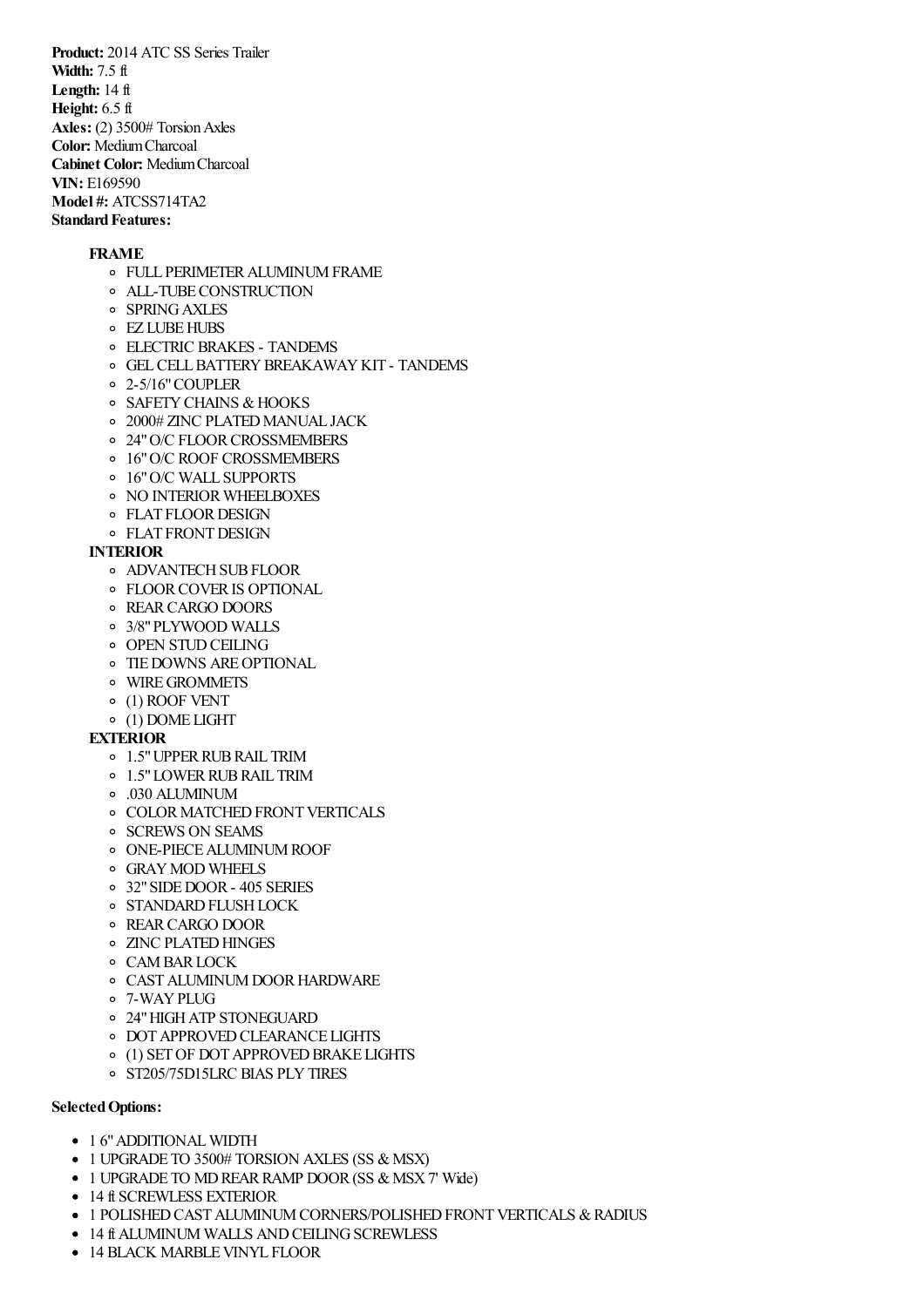**Product:** 2014 ATC SS Series Trailer **Width:** 7.5 ft **Length:** 14 ft **Height:** 6.5 ft Axles: (2) 3500# Torsion Axles **Color:** MediumCharcoal **Cabinet Color:** MediumCharcoal **VIN:** E169590 **Model #: ATCSS714TA2 Standard Features:** 

## **FRAME**

- FULL PERIMETERALUMINUMFRAME
- ALL-TUBECONSTRUCTION
- **O** SPRING AXLES
- EZ LUBEHUBS
- ELECTRIC BRAKES TANDEMS
- o GEL CELL BATTERY BREAKAWAY KIT TANDEMS
- 2-5/16"COUPLER
- **O SAFETY CHAINS & HOOKS**
- o 2000# ZINC PLATED MANUAL JACK
- <sup>o</sup> 24" O/C FLOOR CROSSMEMBERS
- o 16" O/C ROOF CROSSMEMBERS
- 16"O/C WALL SUPPORTS
- **O NO INTERIOR WHEELBOXES**
- **O** FLAT FLOOR DESIGN
- **O** FLAT FRONT DESIGN

## **INTERIOR**

- **O ADVANTECH SUB FLOOR**
- FLOORCOVERIS OPTIONAL
- REARCARGO DOORS
- 3/8"PLYWOOD WALLS
- **OPEN STUD CEILING**
- TIEDOWNS AREOPTIONAL
- WIREGROMMETS
- (1) ROOF VENT
- (1) DOME LIGHT

## **EXTERIOR**

- o 1.5" UPPER RUB RAIL TRIM
- 1.5"LOWERRUBRAIL TRIM
- .030 ALUMINUM
- **O COLOR MATCHED FRONT VERTICALS**
- o SCREWS ON SEAMS
- ONE-PIECEALUMINUMROOF
- GRAYMOD WHEELS
- 32"SIDEDOOR- 405 SERIES
- o STANDARD FLUSH LOCK
- REARCARGO DOOR
- o ZINC PLATED HINGES
- **O** CAMBARLOCK
- **O CAST ALUMINUM DOOR HARDWARE**
- 7-WAYPLUG
- 24"HIGHATP STONEGUARD
- **O DOT APPROVED CLEARANCE LIGHTS**
- $\circ$  (1) SET OF DOT APPROVED BRAKE LIGHTS
- o ST205/75D15LRC BIAS PLY TIRES

## **SelectedOptions:**

- 1 6" ADDITIONAL WIDTH
- 1 UPGRADE TO 3500# TORSION AXLES (SS & MSX)
- 1 UPGRADE TO MD REAR RAMP DOOR (SS & MSX 7' Wide)
- **14 ft SCREWLESS EXTERIOR**
- **1 POLISHED CAST ALUMINUM CORNERS/POLISHED FRONT VERTICALS & RADIUS**
- $\bullet$  14 ft ALUMINUM WALLS AND CEILING SCREWLESS
- **14 BLACK MARBLE VINYL FLOOR**